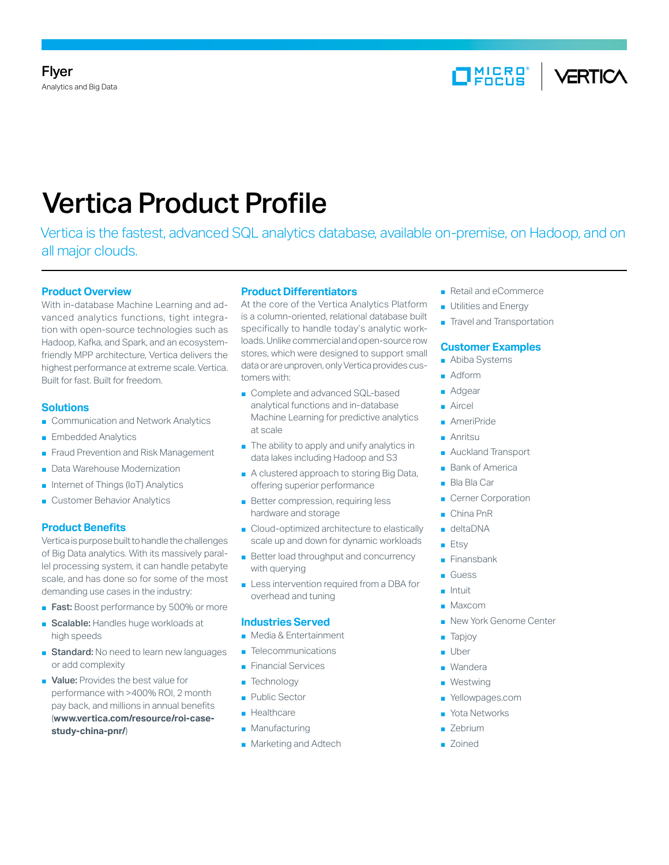# Vertica Product Profile

Vertica is the fastest, advanced SQL analytics database, available on-premise, on Hadoop, and on all major clouds.

# **Product Overview**

With in-database Machine Learning and advanced analytics functions, tight integration with open-source technologies such as Hadoop, Kafka, and Spark, and an ecosystemfriendly MPP architecture, Vertica delivers the highest performance at extreme scale. Vertica. Built for fast. Built for freedom.

### **Solutions**

- Communication and Network Analytics
- Embedded Analytics
- Fraud Prevention and Risk Management
- Data Warehouse Modernization
- Internet of Things (IoT) Analytics
- Customer Behavior Analytics

#### **Product Benefits**

Vertica is purpose built to handle the challenges of Big Data analytics. With its massively parallel processing system, it can handle petabyte scale, and has done so for some of the most demanding use cases in the industry:

- Fast: Boost performance by 500% or more
- Scalable: Handles huge workloads at high speeds
- Standard: No need to learn new languages or add complexity
- Value: Provides the best value for performance with >400% ROI, 2 month pay back, and millions in annual benefits (**[www.vertica.com/resource/roi-case](https://www.vertica.com/resource/roi-case-study-china-pnr/)[study-china-pnr/](https://www.vertica.com/resource/roi-case-study-china-pnr/)**)

## **Product Differentiators**

At the core of the Vertica Analytics Platform is a column-oriented, relational database built specifically to handle today's analytic workloads. Unlike commercial and open-source row stores, which were designed to support small data or are unproven, only Vertica provides customers with:

- Complete and advanced SQL-based analytical functions and in-database Machine Learning for predictive analytics at scale
- The ability to apply and unify analytics in data lakes including Hadoop and S3
- A clustered approach to storing Big Data, offering superior performance
- Better compression, requiring less hardware and storage
- Cloud-optimized architecture to elastically scale up and down for dynamic workloads
- Better load throughput and concurrency with querying
- Less intervention required from a DBA for overhead and tuning

#### **Industries Served**

- Media & Entertainment
- Telecommunications
- Financial Services
- Technology
- Public Sector
- Healthcare
- Manufacturing
- Marketing and Adtech

■ Retail and eCommerce

 $\Box$   $HIERO^*$ 

*ERTICA* 

- **Utilities and Energy**
- Travel and Transportation

#### **Customer Examples**

- Abiba Systems
- Adform
- Adgear
- **Aircel**
- **AmeriPride**
- Anritsu
- **Auckland Transport**
- **Bank of America**
- Bla Bla Car
- Cerner Corporation
- China PnR
- deltaDNA
- Etsy
- Finansbank
- Guess
- Intuit
- Maxcom
- New York Genome Center
- Tapjoy
- Uber
- Wandera
- Westwing
- Yellowpages.com
- Yota Networks
- Zebrium
- Zoined